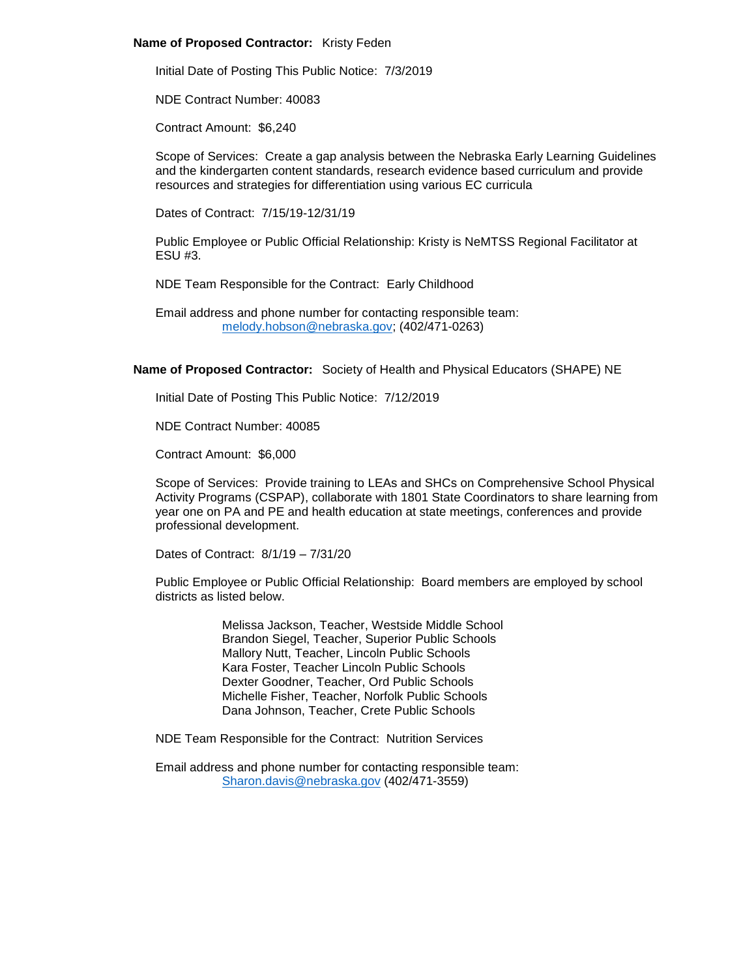#### **Name of Proposed Contractor:** Kristy Feden

Initial Date of Posting This Public Notice: 7/3/2019

NDE Contract Number: 40083

Contract Amount: \$6,240

Scope of Services: Create a gap analysis between the Nebraska Early Learning Guidelines and the kindergarten content standards, research evidence based curriculum and provide resources and strategies for differentiation using various EC curricula

Dates of Contract: 7/15/19-12/31/19

Public Employee or Public Official Relationship: Kristy is NeMTSS Regional Facilitator at ESU #3.

NDE Team Responsible for the Contract: Early Childhood

Email address and phone number for contacting responsible team: [melody.hobson@nebraska.gov;](mailto:melody.hobson@nebraska.gov) (402/471-0263)

#### **Name of Proposed Contractor:** Society of Health and Physical Educators (SHAPE) NE

Initial Date of Posting This Public Notice: 7/12/2019

NDE Contract Number: 40085

Contract Amount: \$6,000

Scope of Services: Provide training to LEAs and SHCs on Comprehensive School Physical Activity Programs (CSPAP), collaborate with 1801 State Coordinators to share learning from year one on PA and PE and health education at state meetings, conferences and provide professional development.

Dates of Contract: 8/1/19 – 7/31/20

Public Employee or Public Official Relationship: Board members are employed by school districts as listed below.

> Melissa Jackson, Teacher, Westside Middle School Brandon Siegel, Teacher, Superior Public Schools Mallory Nutt, Teacher, Lincoln Public Schools Kara Foster, Teacher Lincoln Public Schools Dexter Goodner, Teacher, Ord Public Schools Michelle Fisher, Teacher, Norfolk Public Schools Dana Johnson, Teacher, Crete Public Schools

NDE Team Responsible for the Contract: Nutrition Services

Email address and phone number for contacting responsible team: [Sharon.davis@nebraska.gov](mailto:Sharon.davis@nebraska.gov) (402/471-3559)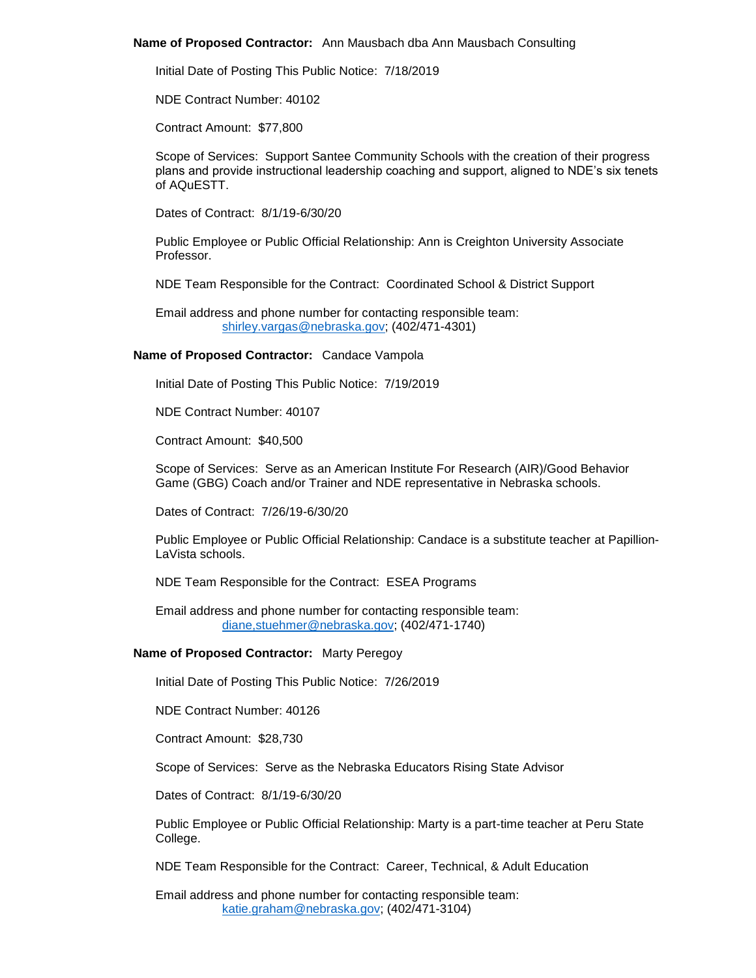### **Name of Proposed Contractor:** Ann Mausbach dba Ann Mausbach Consulting

Initial Date of Posting This Public Notice: 7/18/2019

NDE Contract Number: 40102

Contract Amount: \$77,800

Scope of Services: Support Santee Community Schools with the creation of their progress plans and provide instructional leadership coaching and support, aligned to NDE's six tenets of AQuESTT.

Dates of Contract: 8/1/19-6/30/20

Public Employee or Public Official Relationship: Ann is Creighton University Associate Professor.

NDE Team Responsible for the Contract: Coordinated School & District Support

Email address and phone number for contacting responsible team: [shirley.vargas@nebraska.gov;](mailto:shirley.vargas@nebraska.gov) (402/471-4301)

## **Name of Proposed Contractor:** Candace Vampola

Initial Date of Posting This Public Notice: 7/19/2019

NDE Contract Number: 40107

Contract Amount: \$40,500

Scope of Services: Serve as an American Institute For Research (AIR)/Good Behavior Game (GBG) Coach and/or Trainer and NDE representative in Nebraska schools.

Dates of Contract: 7/26/19-6/30/20

Public Employee or Public Official Relationship: Candace is a substitute teacher at Papillion-LaVista schools.

NDE Team Responsible for the Contract: ESEA Programs

Email address and phone number for contacting responsible team: [diane,stuehmer@nebraska.gov;](mailto:shirley.vargas@nebraska.gov) (402/471-1740)

# **Name of Proposed Contractor:** Marty Peregoy

Initial Date of Posting This Public Notice: 7/26/2019

NDE Contract Number: 40126

Contract Amount: \$28,730

Scope of Services: Serve as the Nebraska Educators Rising State Advisor

Dates of Contract: 8/1/19-6/30/20

Public Employee or Public Official Relationship: Marty is a part-time teacher at Peru State College.

NDE Team Responsible for the Contract: Career, Technical, & Adult Education

Email address and phone number for contacting responsible team: [katie.graham@nebraska.gov;](mailto:katie.graham@nebraska.gov) (402/471-3104)